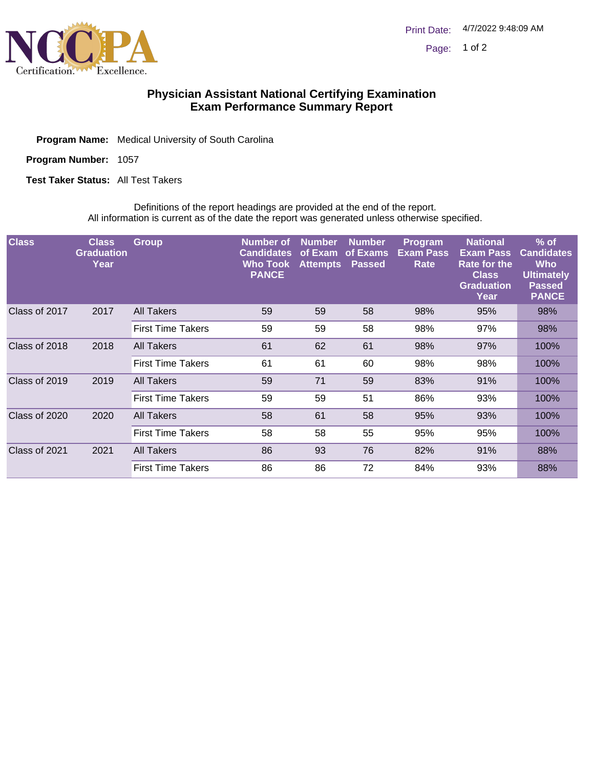

## **Physician Assistant National Certifying Examination Exam Performance Summary Report**

Program Name: Medical University of South Carolina

Program Number: 1057

**Test Taker Status: All Test Takers** 

Definitions of the report headings are provided at the end of the report. All information is current as of the date the report was generated unless otherwise specified.

| <b>Class</b>  | <b>Class</b><br><b>Graduation</b><br>Year | <b>Group</b>             | <b>Number</b> of<br><b>Candidates</b><br>Who Took<br><b>PANCE</b> | <b>Number</b><br>of Exam<br><b>Attempts</b> | <b>Number</b><br>of Exams<br><b>Passed</b> | <b>Program</b><br><b>Exam Pass</b><br>Rate | <b>National</b><br><b>Exam Pass</b><br>Rate for the<br><b>Class</b><br><b>Graduation</b><br>Year | $%$ of<br><b>Candidates</b><br><b>Who</b><br><b>Ultimately</b><br><b>Passed</b><br><b>PANCE</b> |
|---------------|-------------------------------------------|--------------------------|-------------------------------------------------------------------|---------------------------------------------|--------------------------------------------|--------------------------------------------|--------------------------------------------------------------------------------------------------|-------------------------------------------------------------------------------------------------|
| Class of 2017 | 2017                                      | <b>All Takers</b>        | 59                                                                | 59                                          | 58                                         | 98%                                        | 95%                                                                                              | 98%                                                                                             |
|               |                                           | <b>First Time Takers</b> | 59                                                                | 59                                          | 58                                         | 98%                                        | 97%                                                                                              | 98%                                                                                             |
| Class of 2018 | 2018                                      | All Takers               | 61                                                                | 62                                          | 61                                         | 98%                                        | 97%                                                                                              | 100%                                                                                            |
|               |                                           | <b>First Time Takers</b> | 61                                                                | 61                                          | 60                                         | 98%                                        | 98%                                                                                              | 100%                                                                                            |
| Class of 2019 | 2019                                      | <b>All Takers</b>        | 59                                                                | 71                                          | 59                                         | 83%                                        | 91%                                                                                              | 100%                                                                                            |
|               |                                           | <b>First Time Takers</b> | 59                                                                | 59                                          | 51                                         | 86%                                        | 93%                                                                                              | 100%                                                                                            |
| Class of 2020 | 2020                                      | All Takers               | 58                                                                | 61                                          | 58                                         | 95%                                        | 93%                                                                                              | 100%                                                                                            |
|               |                                           | <b>First Time Takers</b> | 58                                                                | 58                                          | 55                                         | 95%                                        | 95%                                                                                              | 100%                                                                                            |
| Class of 2021 | 2021                                      | All Takers               | 86                                                                | 93                                          | 76                                         | 82%                                        | 91%                                                                                              | 88%                                                                                             |
|               |                                           | <b>First Time Takers</b> | 86                                                                | 86                                          | 72                                         | 84%                                        | 93%                                                                                              | 88%                                                                                             |